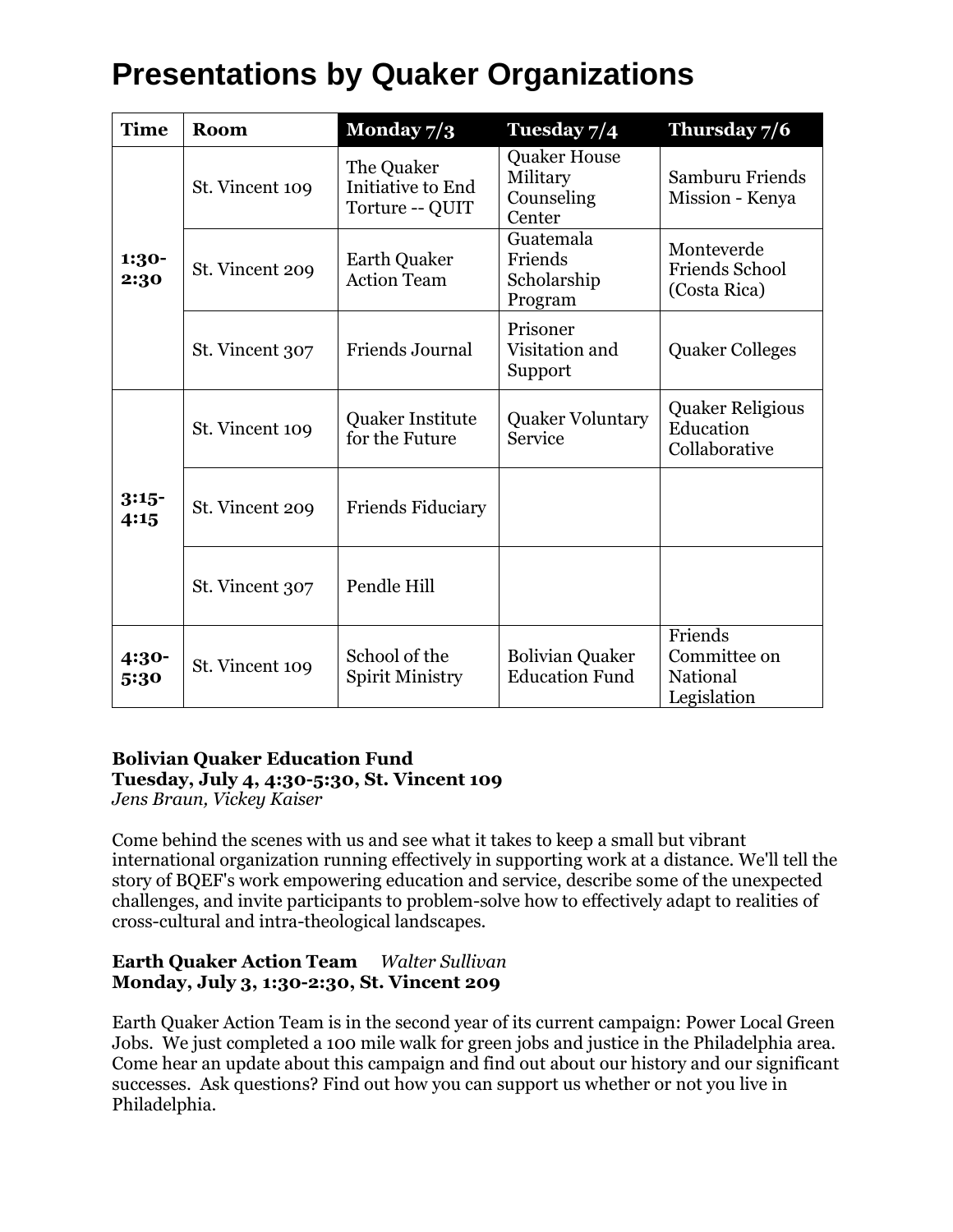| <b>Time</b>     | Room            | Monday $7/3$                                       | Tuesday 7/4                                             | Thursday 7/6                                          |
|-----------------|-----------------|----------------------------------------------------|---------------------------------------------------------|-------------------------------------------------------|
| 1:30-<br>2:30   | St. Vincent 109 | The Quaker<br>Initiative to End<br>Torture -- QUIT | <b>Quaker House</b><br>Military<br>Counseling<br>Center | Samburu Friends<br>Mission - Kenya                    |
|                 | St. Vincent 209 | <b>Earth Quaker</b><br><b>Action Team</b>          | Guatemala<br>Friends<br>Scholarship<br>Program          | Monteverde<br><b>Friends School</b><br>(Costa Rica)   |
|                 | St. Vincent 307 | Friends Journal                                    | Prisoner<br>Visitation and<br>Support                   | <b>Quaker Colleges</b>                                |
| $3:15-$<br>4:15 | St. Vincent 109 | Quaker Institute<br>for the Future                 | <b>Quaker Voluntary</b><br>Service                      | <b>Quaker Religious</b><br>Education<br>Collaborative |
|                 | St. Vincent 209 | <b>Friends Fiduciary</b>                           |                                                         |                                                       |
|                 | St. Vincent 307 | Pendle Hill                                        |                                                         |                                                       |
| 4:30-<br>5:30   | St. Vincent 109 | School of the<br><b>Spirit Ministry</b>            | <b>Bolivian Quaker</b><br><b>Education Fund</b>         | Friends<br>Committee on<br>National<br>Legislation    |

## **Bolivian Quaker Education Fund Tuesday, July 4, 4:30-5:30, St. Vincent 109**

*Jens Braun, Vickey Kaiser*

Come behind the scenes with us and see what it takes to keep a small but vibrant international organization running effectively in supporting work at a distance. We'll tell the story of BQEF's work empowering education and service, describe some of the unexpected challenges, and invite participants to problem-solve how to effectively adapt to realities of cross-cultural and intra-theological landscapes.

#### **Earth Quaker Action Team** *Walter Sullivan* **Monday, July 3, 1:30-2:30, St. Vincent 209**

Earth Quaker Action Team is in the second year of its current campaign: Power Local Green Jobs. We just completed a 100 mile walk for green jobs and justice in the Philadelphia area. Come hear an update about this campaign and find out about our history and our significant successes. Ask questions? Find out how you can support us whether or not you live in Philadelphia.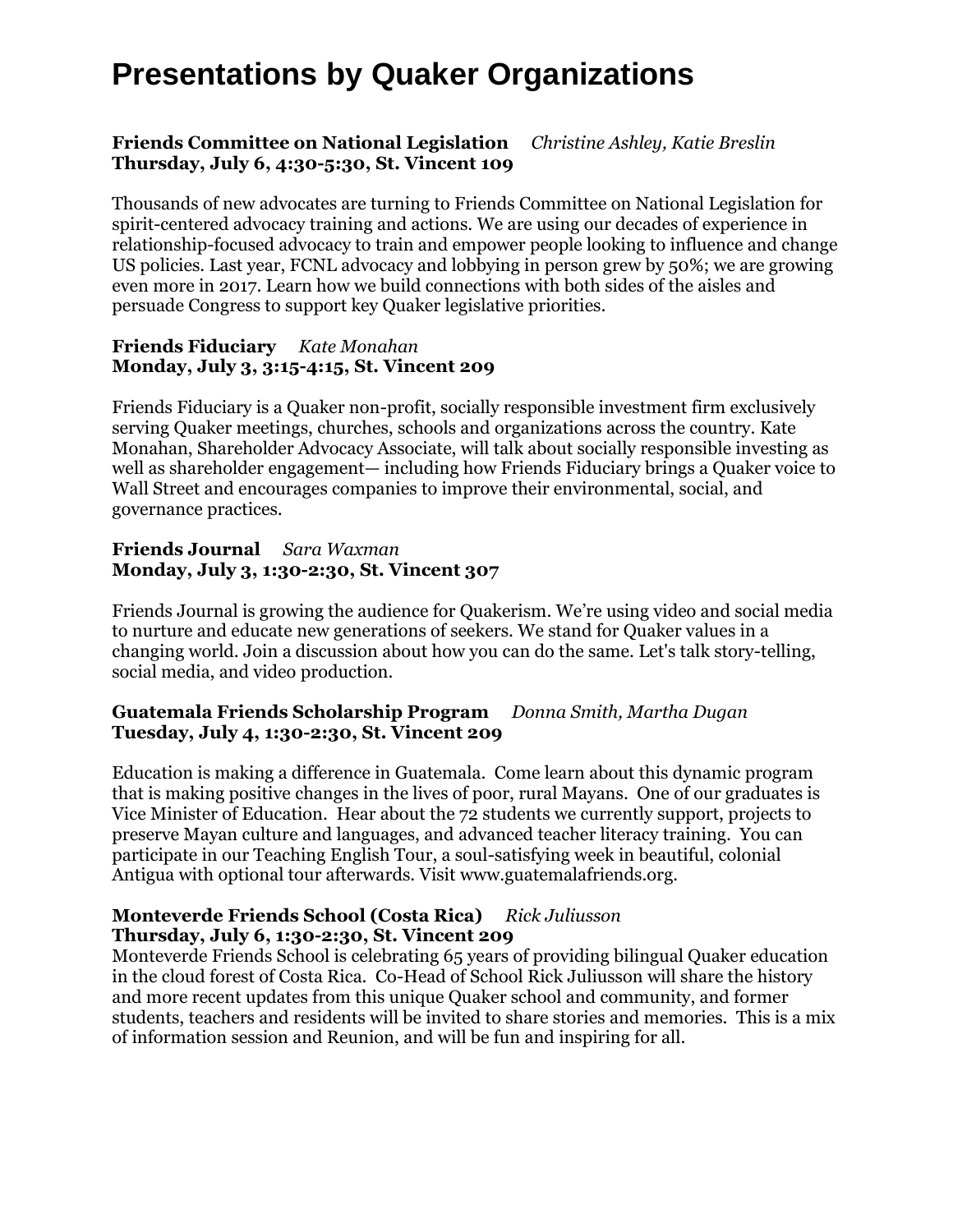#### **Friends Committee on National Legislation** *Christine Ashley, Katie Breslin* **Thursday, July 6, 4:30-5:30, St. Vincent 109**

Thousands of new advocates are turning to Friends Committee on National Legislation for spirit-centered advocacy training and actions. We are using our decades of experience in relationship-focused advocacy to train and empower people looking to influence and change US policies. Last year, FCNL advocacy and lobbying in person grew by 50%; we are growing even more in 2017. Learn how we build connections with both sides of the aisles and persuade Congress to support key Quaker legislative priorities.

#### **Friends Fiduciary** *Kate Monahan* **Monday, July 3, 3:15-4:15, St. Vincent 209**

Friends Fiduciary is a Quaker non-profit, socially responsible investment firm exclusively serving Quaker meetings, churches, schools and organizations across the country. Kate Monahan, Shareholder Advocacy Associate, will talk about socially responsible investing as well as shareholder engagement— including how Friends Fiduciary brings a Quaker voice to Wall Street and encourages companies to improve their environmental, social, and governance practices.

#### **Friends Journal** *Sara Waxman* **Monday, July 3, 1:30-2:30, St. Vincent 307**

Friends Journal is growing the audience for Quakerism. We're using video and social media to nurture and educate new generations of seekers. We stand for Quaker values in a changing world. Join a discussion about how you can do the same. Let's talk story-telling, social media, and video production.

#### **Guatemala Friends Scholarship Program** *Donna Smith, Martha Dugan* **Tuesday, July 4, 1:30-2:30, St. Vincent 209**

Education is making a difference in Guatemala. Come learn about this dynamic program that is making positive changes in the lives of poor, rural Mayans. One of our graduates is Vice Minister of Education. Hear about the 72 students we currently support, projects to preserve Mayan culture and languages, and advanced teacher literacy training. You can participate in our Teaching English Tour, a soul-satisfying week in beautiful, colonial Antigua with optional tour afterwards. Visit www.guatemalafriends.org.

#### **Monteverde Friends School (Costa Rica)** *Rick Juliusson* **Thursday, July 6, 1:30-2:30, St. Vincent 209**

Monteverde Friends School is celebrating 65 years of providing bilingual Quaker education in the cloud forest of Costa Rica. Co-Head of School Rick Juliusson will share the history and more recent updates from this unique Quaker school and community, and former students, teachers and residents will be invited to share stories and memories. This is a mix of information session and Reunion, and will be fun and inspiring for all.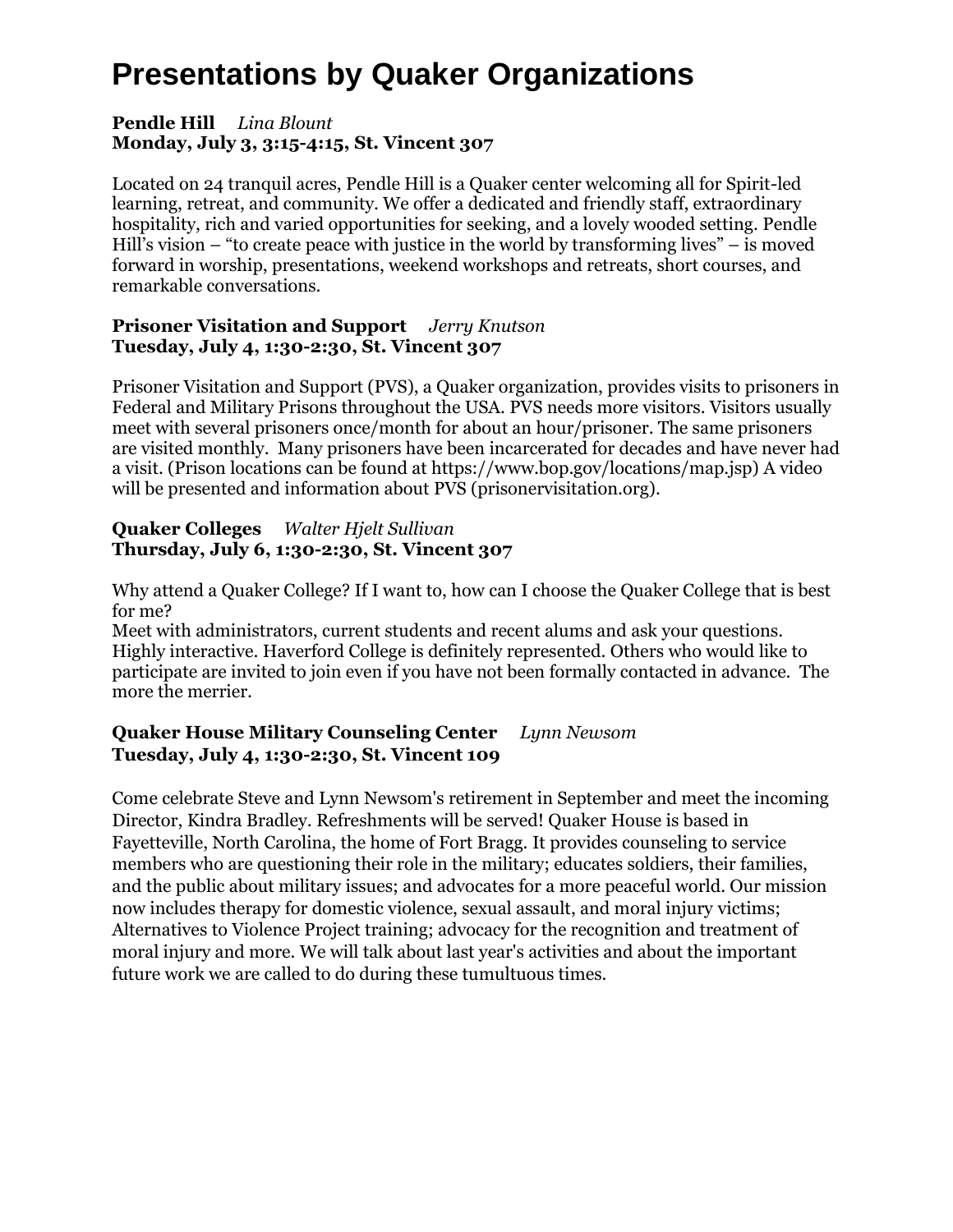#### **Pendle Hill** *Lina Blount* **Monday, July 3, 3:15-4:15, St. Vincent 307**

Located on 24 tranquil acres, Pendle Hill is a Quaker center welcoming all for Spirit-led learning, retreat, and community. We offer a dedicated and friendly staff, extraordinary hospitality, rich and varied opportunities for seeking, and a lovely wooded setting. Pendle Hill's vision – "to create peace with justice in the world by transforming lives" – is moved forward in worship, presentations, weekend workshops and retreats, short courses, and remarkable conversations.

#### **Prisoner Visitation and Support** *Jerry Knutson* **Tuesday, July 4, 1:30-2:30, St. Vincent 307**

Prisoner Visitation and Support (PVS), a Quaker organization, provides visits to prisoners in Federal and Military Prisons throughout the USA. PVS needs more visitors. Visitors usually meet with several prisoners once/month for about an hour/prisoner. The same prisoners are visited monthly. Many prisoners have been incarcerated for decades and have never had a visit. (Prison locations can be found at https://www.bop.gov/locations/map.jsp) A video will be presented and information about PVS (prisonervisitation.org).

#### **Quaker Colleges** *Walter Hjelt Sullivan* **Thursday, July 6, 1:30-2:30, St. Vincent 307**

Why attend a Quaker College? If I want to, how can I choose the Quaker College that is best for me?

Meet with administrators, current students and recent alums and ask your questions. Highly interactive. Haverford College is definitely represented. Others who would like to participate are invited to join even if you have not been formally contacted in advance. The more the merrier.

### **Quaker House Military Counseling Center** *Lynn Newsom* **Tuesday, July 4, 1:30-2:30, St. Vincent 109**

Come celebrate Steve and Lynn Newsom's retirement in September and meet the incoming Director, Kindra Bradley. Refreshments will be served! Quaker House is based in Fayetteville, North Carolina, the home of Fort Bragg. It provides counseling to service members who are questioning their role in the military; educates soldiers, their families, and the public about military issues; and advocates for a more peaceful world. Our mission now includes therapy for domestic violence, sexual assault, and moral injury victims; Alternatives to Violence Project training; advocacy for the recognition and treatment of moral injury and more. We will talk about last year's activities and about the important future work we are called to do during these tumultuous times.